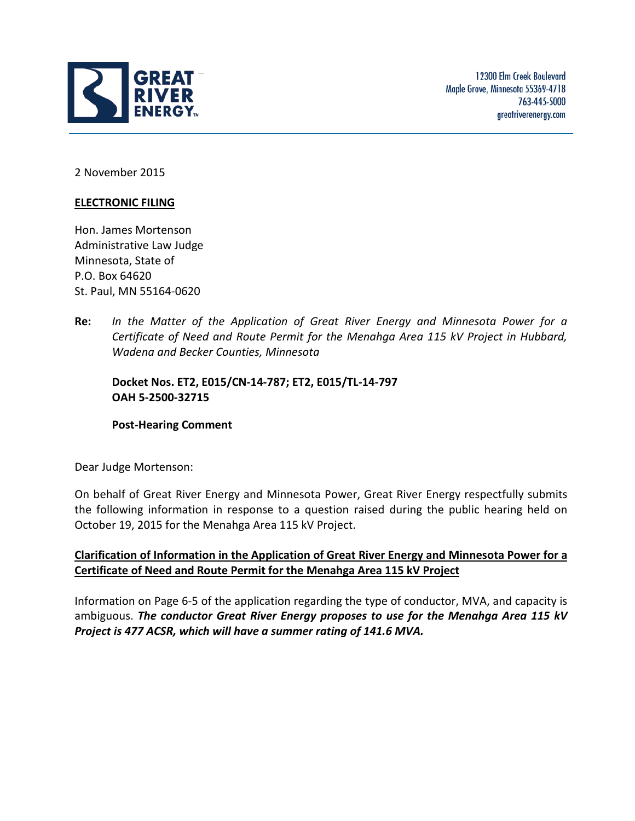

2 November 2015

## **ELECTRONIC FILING**

Hon. James Mortenson Administrative Law Judge Minnesota, State of P.O. Box 64620 St. Paul, MN 55164-0620

**Re:** *In the Matter of the Application of Great River Energy and Minnesota Power for a Certificate of Need and Route Permit for the Menahga Area 115 kV Project in Hubbard, Wadena and Becker Counties, Minnesota*

**Docket Nos. ET2, E015/CN-14-787; ET2, E015/TL-14-797 OAH 5-2500-32715**

## **Post-Hearing Comment**

Dear Judge Mortenson:

On behalf of Great River Energy and Minnesota Power, Great River Energy respectfully submits the following information in response to a question raised during the public hearing held on October 19, 2015 for the Menahga Area 115 kV Project.

## **Clarification of Information in the Application of Great River Energy and Minnesota Power for a Certificate of Need and Route Permit for the Menahga Area 115 kV Project**

Information on Page 6-5 of the application regarding the type of conductor, MVA, and capacity is ambiguous. *The conductor Great River Energy proposes to use for the Menahga Area 115 kV Project is 477 ACSR, which will have a summer rating of 141.6 MVA.*